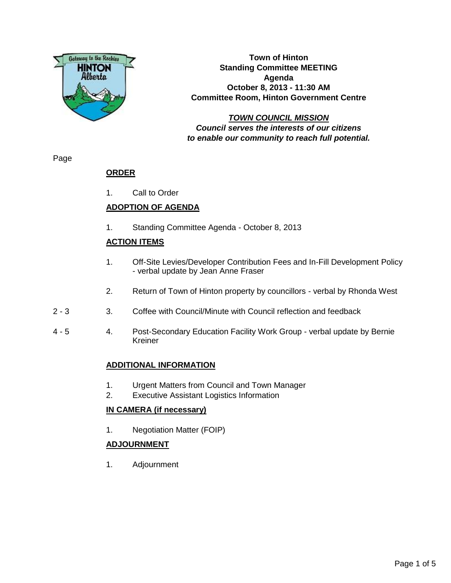

**Town of Hinton Standing Committee MEETING Agenda October 8, 2013 - 11:30 AM Committee Room, Hinton Government Centre**

**TOWN COUNCIL MISSION Council serves the interests of our citizens to enable our community to reach full potential.**

Page

# **ORDER**

1. Call to Order

# **ADOPTION OF AGENDA**

1. Standing Committee Agenda - October 8, 2013

# **ACTION ITEMS**

- 1. Off-Site Levies/Developer Contribution Fees and In-Fill Development Policy - verbal update by Jean Anne Fraser
- 2. Return of Town of Hinton property by councillors verbal by Rhonda West
- 2 3 3. Coffee with Council/Minute with Council reflection and feedback
- 4 5 4. Post-Secondary Education Facility Work Group verbal update by Bernie Kreiner

# **ADDITIONAL INFORMATION**

- 1. Urgent Matters from Council and Town Manager
- 2. Executive Assistant Logistics Information

# **IN CAMERA (if necessary)**

1. Negotiation Matter (FOIP)

# **ADJOURNMENT**

1. Adjournment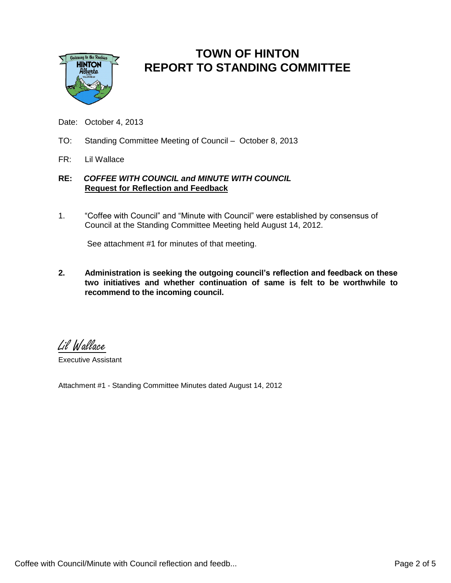

# **TOWN OF HINTON REPORT TO STANDING COMMITTEE**

- Date: October 4, 2013
- TO: Standing Committee Meeting of Council October 8, 2013
- FR: Lil Wallace

### **RE:** *COFFEE WITH COUNCIL and MINUTE WITH COUNCIL* **Request for Reflection and Feedback**

1. "Coffee with Council" and "Minute with Council" were established by consensus of Council at the Standing Committee Meeting held August 14, 2012.

See attachment #1 for minutes of that meeting.

**2. Administration is seeking the outgoing council's reflection and feedback on these two initiatives and whether continuation of same is felt to be worthwhile to recommend to the incoming council.**

Lil Wallace

Executive Assistant

Attachment #1 - Standing Committee Minutes dated August 14, 2012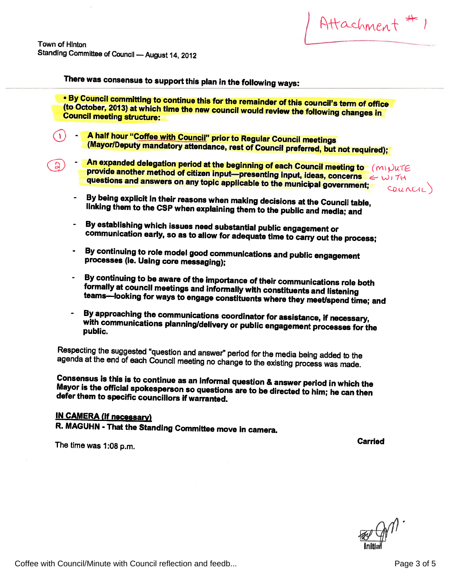Attachment # 1

Town of Hinton Standing Committee of Council — August 14, <sup>2012</sup>

 $\mathsf{D}$ 

There was consensus to support this <sup>p</sup>lan in the following ways:



- **An expanded delegation period at the beginning of each Council meeting to** (MI)UTE<br>provide another method of citizen input—presenting input, ideas, concerns  $\iff$  WITH provide another method of citizen input—presenting input, ideas, concerns  $\epsilon \omega$ <br>questions and answers on any topic applicable to the municipal government;
	- By being explicit in their reasons when making decisions at the Council table, linking them to the CSP when explaining them to the public and media; and
	- By establishing which issues need substantial public engagement or communication early, so as to allow for adequate time to carry out the process;
	- By continuing to role model good communications and public engagement processes (le. Using core messaging);
	- By continuing to be aware of the importance of their communications role both<br>formally at council meetings and informally with constituents and listening<br>teams—looking for ways to engage constituents where they meet/spend
	- By approaching the communications coordinator for assistance, if necessary,<br>with communications planning/delivery or public engagement processes for the<br>public.

Respecting the suggested "question and answer" period for the media being added to the agenda at the end of each Council meeting no change to the existing process was made.

Consensus is this is to continue as an informal question & answer period in which the Mayor Consensus is this is to continue as an informal question & answer period in which the<br>Mayor is the official spokesperson so questions are to be directed to him; he can then<br>defer them to specific councillors if warranted.

# IN CAMERA (if necessary)

R. MAGUHN - That the Standing Committee move in camera.

The time was 1:08 p.m. **Carried** The time was 1:08 p.m.

– Init

Coffee with Council/Minute with Council reflection and feedb... Coffee with Council Page 3 of 5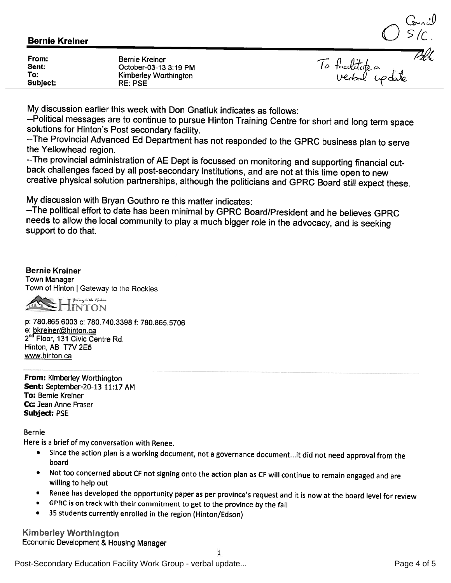$\textbf{Bernie Kreiner} \begin{array}{c} \textbf{C} \sim \text{C} \ \textbf{S} \textbf{C} \cdot \textbf{C} \ \textbf{S} \textbf{C} \cdot \textbf{C} \ \textbf{S} \textbf{C} \cdot \textbf{C} \ \textbf{S} \textbf{C} \textbf{C} \textbf{C} \textbf{C} \textbf{C} \textbf{C} \textbf{C} \textbf{C} \textbf{C} \textbf{C} \textbf{C} \textbf{C} \textbf{C} \textbf{C} \textbf{C} \textbf{C} \textbf{C} \textbf{C} \textbf{C} \textbf{C}$ 

| From:<br>Sent:<br>To:<br>Subject: | Bernie Kreiner<br>October-03-13 3:19 PM<br>Kimberley Worthington<br>RE: PSE | To facilitate<br>Verbal |
|-----------------------------------|-----------------------------------------------------------------------------|-------------------------|
|-----------------------------------|-----------------------------------------------------------------------------|-------------------------|

My discussion earlier this week with Don Gnatiuk indicates as follows:

--Political messages are to continue to pursue Hinton Training Centre for short and long term space<br>solutions for Hinton's Post secondary facility.

--The Provincial Advanced Ed Department has not responded to the GPRC business plan to serve<br>the Yellowhead region.<br>--The provincial administration of AE Dept is focussed on monitoring and supporting financial cut-

back challenges faced by all post-secondary institutions, and are not at this time open to new<br>creative physical solution partnerships, although the politicians and GPRC Board still expect these.

My discussion with Bryan Gouthro re this matter indicates:

--The political effort to date has been minimal by GPRC Board/President and he believes GPRC needs to allow the local community to <sup>p</sup>lay <sup>a</sup> much bigger role in the advocacy, and is seeking support to do that.

Bernie Kreiner Town Manager Town of Hinton | Gateway to the Rockies



p: 780.865.6003 C: 780.740.3398 f: 780.865.5706 e: bkreiner@hinton.ca 2<sup>nd</sup> Floor, 131 Civic Centre Rd. Hinton, AB T7V 2E5 www.hinton.ca

From: Kimberley Worthington Sent: September-20-13 11:17 AM To: Bernie Kreiner Cc: Jean Anne Fraser Subject: PSE

Bernie

Here is <sup>a</sup> brief of my conversation with Renee.

- • Since the action <sup>p</sup>lan is <sup>a</sup> working document, not <sup>a</sup> governance document...it did not need approval from the board
- • Not too concerned about CF not signing onto the action <sup>p</sup>lan as CF will continue to remain engaged and are willing to help out
- •Renee has developed the opportunity paper as per province's request and it is now at the board level for review
- $\bullet$ GPRC is on track with their commitment to get to the province by the fall
- •<sup>35</sup> students currently enrolled in the region (Hinton/Edson)

Kim berley Worthington Economic Development & Housing Manager

1

Post-Secondary Education Facility Work Group - verbal update... example and the secondary Education Facility Work Group - verbal update...